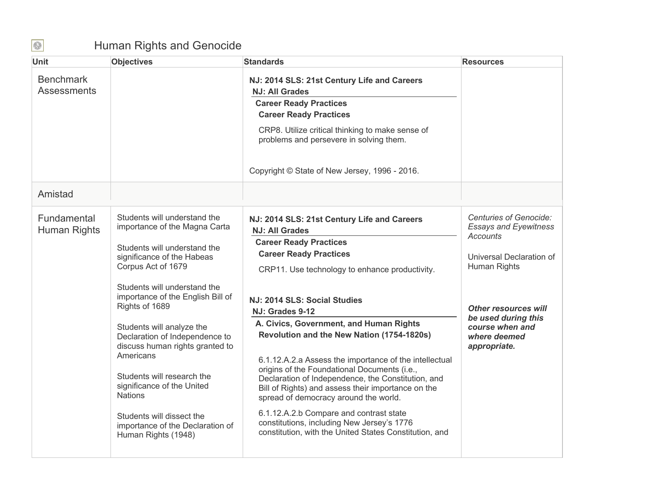## Human Rights and Genocide

| <b>Unit</b>                            | <b>Objectives</b>                                             | <b>Standards</b>                                                                                       | <b>Resources</b>                                              |
|----------------------------------------|---------------------------------------------------------------|--------------------------------------------------------------------------------------------------------|---------------------------------------------------------------|
| <b>Benchmark</b><br><b>Assessments</b> |                                                               | NJ: 2014 SLS: 21st Century Life and Careers<br><b>NJ: All Grades</b>                                   |                                                               |
|                                        |                                                               | <b>Career Ready Practices</b>                                                                          |                                                               |
|                                        |                                                               | <b>Career Ready Practices</b>                                                                          |                                                               |
|                                        |                                                               | CRP8. Utilize critical thinking to make sense of<br>problems and persevere in solving them.            |                                                               |
|                                        |                                                               | Copyright © State of New Jersey, 1996 - 2016.                                                          |                                                               |
| Amistad                                |                                                               |                                                                                                        |                                                               |
| Fundamental                            | Students will understand the<br>importance of the Magna Carta | NJ: 2014 SLS: 21st Century Life and Careers                                                            | <b>Centuries of Genocide:</b><br><b>Essays and Eyewitness</b> |
| Human Rights                           |                                                               | <b>NJ: All Grades</b>                                                                                  | Accounts                                                      |
|                                        | Students will understand the                                  | <b>Career Ready Practices</b><br><b>Career Ready Practices</b>                                         |                                                               |
|                                        | significance of the Habeas<br>Corpus Act of 1679              |                                                                                                        | Universal Declaration of<br>Human Rights                      |
|                                        |                                                               | CRP11. Use technology to enhance productivity.                                                         |                                                               |
|                                        | Students will understand the                                  |                                                                                                        |                                                               |
|                                        | importance of the English Bill of<br>Rights of 1689           | NJ: 2014 SLS: Social Studies                                                                           |                                                               |
|                                        |                                                               | NJ: Grades 9-12                                                                                        | <b>Other resources will</b><br>be used during this            |
|                                        | Students will analyze the                                     | A. Civics, Government, and Human Rights                                                                | course when and                                               |
|                                        | Declaration of Independence to                                | Revolution and the New Nation (1754-1820s)                                                             | where deemed                                                  |
|                                        | discuss human rights granted to<br>Americans                  |                                                                                                        | appropriate.                                                  |
|                                        |                                                               | 6.1.12.A.2.a Assess the importance of the intellectual<br>origins of the Foundational Documents (i.e., |                                                               |
|                                        | Students will research the                                    | Declaration of Independence, the Constitution, and                                                     |                                                               |
|                                        | significance of the United<br><b>Nations</b>                  | Bill of Rights) and assess their importance on the                                                     |                                                               |
|                                        |                                                               | spread of democracy around the world.                                                                  |                                                               |
|                                        | Students will dissect the                                     | 6.1.12.A.2.b Compare and contrast state                                                                |                                                               |
|                                        | importance of the Declaration of<br>Human Rights (1948)       | constitutions, including New Jersey's 1776<br>constitution, with the United States Constitution, and   |                                                               |
|                                        |                                                               |                                                                                                        |                                                               |
|                                        |                                                               |                                                                                                        |                                                               |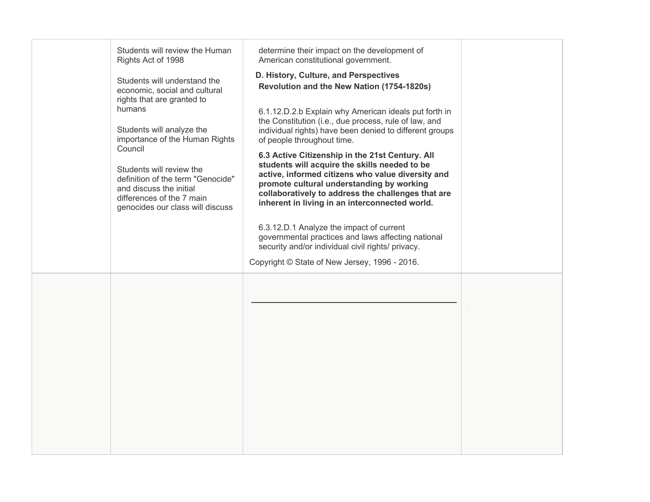| Students will review the Human<br>Rights Act of 1998<br>Students will understand the<br>economic, social and cultural<br>rights that are granted to<br>humans<br>Students will analyze the<br>importance of the Human Rights<br>Council<br>Students will review the<br>definition of the term "Genocide"<br>and discuss the initial<br>differences of the 7 main<br>genocides our class will discuss | determine their impact on the development of<br>American constitutional government.<br>D. History, Culture, and Perspectives<br>Revolution and the New Nation (1754-1820s)<br>6.1.12.D.2.b Explain why American ideals put forth in<br>the Constitution (i.e., due process, rule of law, and<br>individual rights) have been denied to different groups<br>of people throughout time.<br>6.3 Active Citizenship in the 21st Century. All<br>students will acquire the skills needed to be<br>active, informed citizens who value diversity and<br>promote cultural understanding by working<br>collaboratively to address the challenges that are<br>inherent in living in an interconnected world.<br>6.3.12.D.1 Analyze the impact of current<br>governmental practices and laws affecting national<br>security and/or individual civil rights/ privacy.<br>Copyright © State of New Jersey, 1996 - 2016. |  |
|------------------------------------------------------------------------------------------------------------------------------------------------------------------------------------------------------------------------------------------------------------------------------------------------------------------------------------------------------------------------------------------------------|-------------------------------------------------------------------------------------------------------------------------------------------------------------------------------------------------------------------------------------------------------------------------------------------------------------------------------------------------------------------------------------------------------------------------------------------------------------------------------------------------------------------------------------------------------------------------------------------------------------------------------------------------------------------------------------------------------------------------------------------------------------------------------------------------------------------------------------------------------------------------------------------------------------|--|
|                                                                                                                                                                                                                                                                                                                                                                                                      |                                                                                                                                                                                                                                                                                                                                                                                                                                                                                                                                                                                                                                                                                                                                                                                                                                                                                                             |  |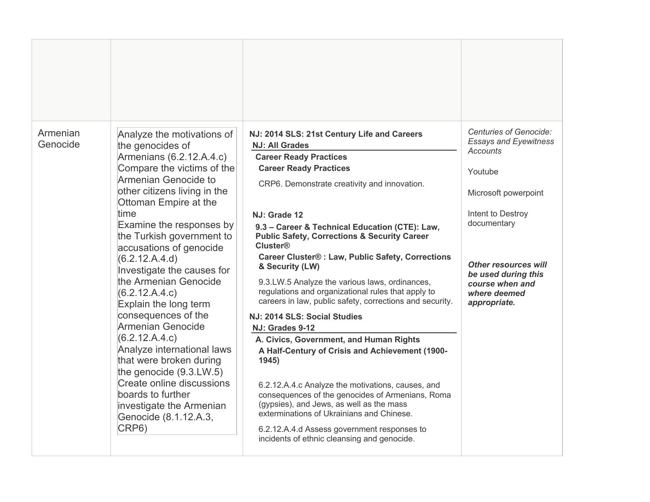| Armenian<br>Genocide | Analyze the motivations of<br>the genocides of<br>Armenians (6.2.12.A.4.c)<br>Compare the victims of the<br>Armenian Genocide to<br>other citizens living in the<br>Ottoman Empire at the<br>time<br>Examine the responses by<br>the Turkish government to<br>accusations of genocide<br>(6.2.12.A.4.d)<br>Investigate the causes for<br>the Armenian Genocide<br>(6.2.12.A.4.c)<br>Explain the long term<br>consequences of the<br>Armenian Genocide<br>(6.2.12.A.4.c)<br>Analyze international laws<br>that were broken during<br>the genocide $(9.3.LW.5)$<br>Create online discussions<br>boards to further<br>investigate the Armenian<br>Genocide (8.1.12.A.3,<br>CRP6) | NJ: 2014 SLS: 21st Century Life and Careers<br><b>NJ: All Grades</b><br><b>Career Ready Practices</b><br><b>Career Ready Practices</b><br>CRP6. Demonstrate creativity and innovation.<br>NJ: Grade 12<br>9.3 - Career & Technical Education (CTE): Law,<br><b>Public Safety, Corrections &amp; Security Career</b><br><b>Cluster®</b><br><b>Career Cluster® : Law, Public Safety, Corrections</b><br>& Security (LW)<br>9.3.LW.5 Analyze the various laws, ordinances,<br>regulations and organizational rules that apply to<br>careers in law, public safety, corrections and security.<br>NJ: 2014 SLS: Social Studies<br>NJ: Grades 9-12<br>A. Civics, Government, and Human Rights<br>A Half-Century of Crisis and Achievement (1900-<br>1945)<br>6.2.12.A.4.c Analyze the motivations, causes, and<br>consequences of the genocides of Armenians, Roma<br>(gypsies), and Jews, as well as the mass<br>exterminations of Ukrainians and Chinese.<br>6.2.12.A.4.d Assess government responses to | Centuries of Genocide:<br><b>Essays and Eyewitness</b><br>Accounts<br>Youtube<br>Microsoft powerpoint<br>Intent to Destroy<br>documentary<br><b>Other resources will</b><br>be used during this<br>course when and<br>where deemed<br>appropriate. |
|----------------------|-------------------------------------------------------------------------------------------------------------------------------------------------------------------------------------------------------------------------------------------------------------------------------------------------------------------------------------------------------------------------------------------------------------------------------------------------------------------------------------------------------------------------------------------------------------------------------------------------------------------------------------------------------------------------------|------------------------------------------------------------------------------------------------------------------------------------------------------------------------------------------------------------------------------------------------------------------------------------------------------------------------------------------------------------------------------------------------------------------------------------------------------------------------------------------------------------------------------------------------------------------------------------------------------------------------------------------------------------------------------------------------------------------------------------------------------------------------------------------------------------------------------------------------------------------------------------------------------------------------------------------------------------------------------------------------------|----------------------------------------------------------------------------------------------------------------------------------------------------------------------------------------------------------------------------------------------------|
|                      |                                                                                                                                                                                                                                                                                                                                                                                                                                                                                                                                                                                                                                                                               | incidents of ethnic cleansing and genocide.                                                                                                                                                                                                                                                                                                                                                                                                                                                                                                                                                                                                                                                                                                                                                                                                                                                                                                                                                          |                                                                                                                                                                                                                                                    |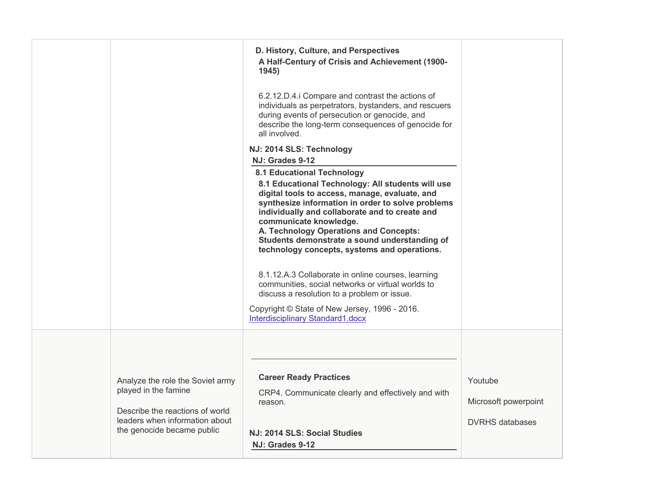|                                                                                                                                                             | D. History, Culture, and Perspectives<br>A Half-Century of Crisis and Achievement (1900-<br>1945)                                                                                                                                                                                                                                                                                                                    |                                                           |
|-------------------------------------------------------------------------------------------------------------------------------------------------------------|----------------------------------------------------------------------------------------------------------------------------------------------------------------------------------------------------------------------------------------------------------------------------------------------------------------------------------------------------------------------------------------------------------------------|-----------------------------------------------------------|
|                                                                                                                                                             | 6.2.12.D.4.i Compare and contrast the actions of<br>individuals as perpetrators, bystanders, and rescuers<br>during events of persecution or genocide, and<br>describe the long-term consequences of genocide for<br>all involved.                                                                                                                                                                                   |                                                           |
|                                                                                                                                                             | NJ: 2014 SLS: Technology                                                                                                                                                                                                                                                                                                                                                                                             |                                                           |
|                                                                                                                                                             | NJ: Grades 9-12                                                                                                                                                                                                                                                                                                                                                                                                      |                                                           |
|                                                                                                                                                             | <b>8.1 Educational Technology</b><br>8.1 Educational Technology: All students will use<br>digital tools to access, manage, evaluate, and<br>synthesize information in order to solve problems<br>individually and collaborate and to create and<br>communicate knowledge.<br>A. Technology Operations and Concepts:<br>Students demonstrate a sound understanding of<br>technology concepts, systems and operations. |                                                           |
|                                                                                                                                                             | 8.1.12.A.3 Collaborate in online courses, learning<br>communities, social networks or virtual worlds to<br>discuss a resolution to a problem or issue.                                                                                                                                                                                                                                                               |                                                           |
|                                                                                                                                                             | Copyright © State of New Jersey, 1996 - 2016.<br>Interdisciplinary Standard1.docx                                                                                                                                                                                                                                                                                                                                    |                                                           |
| Analyze the role the Soviet army<br>played in the famine<br>Describe the reactions of world<br>leaders when information about<br>the genocide became public | <b>Career Ready Practices</b><br>CRP4. Communicate clearly and effectively and with<br>reason.<br>NJ: 2014 SLS: Social Studies                                                                                                                                                                                                                                                                                       | Youtube<br>Microsoft powerpoint<br><b>DVRHS</b> databases |
|                                                                                                                                                             | NJ: Grades 9-12                                                                                                                                                                                                                                                                                                                                                                                                      |                                                           |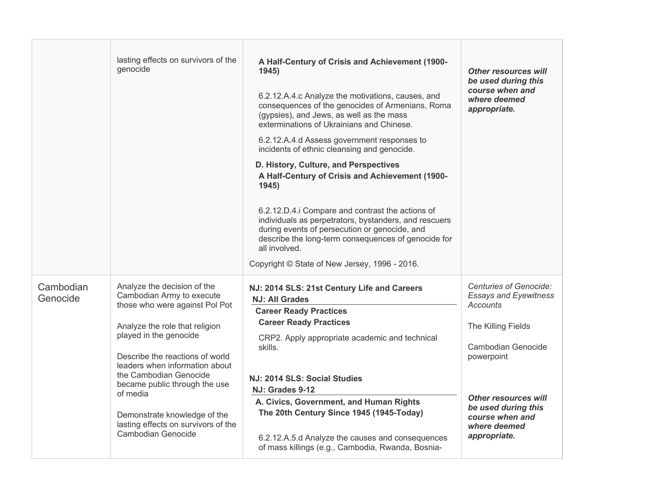|                       | lasting effects on survivors of the<br>genocide                                                                                                                                                                                                                                                                                                                                                 | A Half-Century of Crisis and Achievement (1900-<br>1945<br>6.2.12.A.4.c Analyze the motivations, causes, and<br>consequences of the genocides of Armenians, Roma<br>(gypsies), and Jews, as well as the mass<br>exterminations of Ukrainians and Chinese.<br>6.2.12.A.4.d Assess government responses to<br>incidents of ethnic cleansing and genocide.<br>D. History, Culture, and Perspectives<br>A Half-Century of Crisis and Achievement (1900-<br>1945)<br>6.2.12.D.4.i Compare and contrast the actions of<br>individuals as perpetrators, bystanders, and rescuers<br>during events of persecution or genocide, and<br>describe the long-term consequences of genocide for<br>all involved.<br>Copyright © State of New Jersey, 1996 - 2016. | <b>Other resources will</b><br>be used during this<br>course when and<br>where deemed<br>appropriate.                                                                                                                          |
|-----------------------|-------------------------------------------------------------------------------------------------------------------------------------------------------------------------------------------------------------------------------------------------------------------------------------------------------------------------------------------------------------------------------------------------|-----------------------------------------------------------------------------------------------------------------------------------------------------------------------------------------------------------------------------------------------------------------------------------------------------------------------------------------------------------------------------------------------------------------------------------------------------------------------------------------------------------------------------------------------------------------------------------------------------------------------------------------------------------------------------------------------------------------------------------------------------|--------------------------------------------------------------------------------------------------------------------------------------------------------------------------------------------------------------------------------|
| Cambodian<br>Genocide | Analyze the decision of the<br>Cambodian Army to execute<br>those who were against Pol Pot<br>Analyze the role that religion<br>played in the genocide<br>Describe the reactions of world<br>leaders when information about<br>the Cambodian Genocide<br>became public through the use<br>of media<br>Demonstrate knowledge of the<br>lasting effects on survivors of the<br>Cambodian Genocide | NJ: 2014 SLS: 21st Century Life and Careers<br><b>NJ: All Grades</b><br><b>Career Ready Practices</b><br><b>Career Ready Practices</b><br>CRP2. Apply appropriate academic and technical<br>skills.<br>NJ: 2014 SLS: Social Studies<br>NJ: Grades 9-12<br>A. Civics, Government, and Human Rights<br>The 20th Century Since 1945 (1945-Today)<br>6.2.12.A.5.d Analyze the causes and consequences<br>of mass killings (e.g., Cambodia, Rwanda, Bosnia-                                                                                                                                                                                                                                                                                              | Centuries of Genocide:<br><b>Essays and Eyewitness</b><br>Accounts<br>The Killing Fields<br>Cambodian Genocide<br>powerpoint<br>Other resources will<br>be used during this<br>course when and<br>where deemed<br>appropriate. |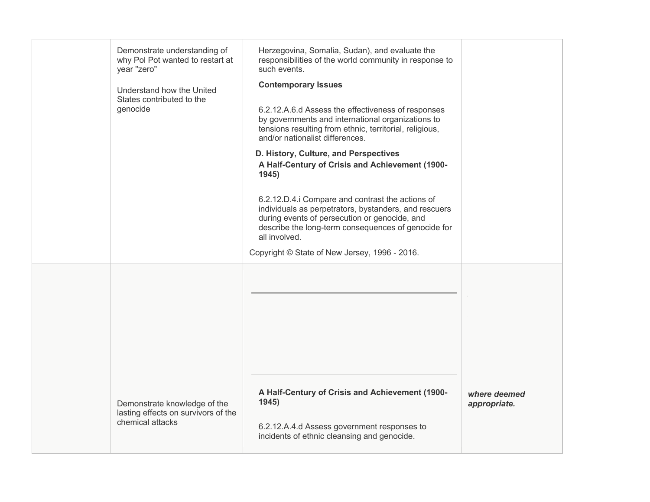|  | Demonstrate understanding of<br>why Pol Pot wanted to restart at<br>year "zero"<br>Understand how the United<br>States contributed to the<br>genocide | Herzegovina, Somalia, Sudan), and evaluate the<br>responsibilities of the world community in response to<br>such events.<br><b>Contemporary Issues</b><br>6.2.12.A.6.d Assess the effectiveness of responses<br>by governments and international organizations to<br>tensions resulting from ethnic, territorial, religious,<br>and/or nationalist differences.<br>D. History, Culture, and Perspectives<br>A Half-Century of Crisis and Achievement (1900-<br>1945) |                              |
|--|-------------------------------------------------------------------------------------------------------------------------------------------------------|----------------------------------------------------------------------------------------------------------------------------------------------------------------------------------------------------------------------------------------------------------------------------------------------------------------------------------------------------------------------------------------------------------------------------------------------------------------------|------------------------------|
|  |                                                                                                                                                       | 6.2.12.D.4.i Compare and contrast the actions of<br>individuals as perpetrators, bystanders, and rescuers<br>during events of persecution or genocide, and<br>describe the long-term consequences of genocide for<br>all involved.<br>Copyright © State of New Jersey, 1996 - 2016.                                                                                                                                                                                  |                              |
|  |                                                                                                                                                       |                                                                                                                                                                                                                                                                                                                                                                                                                                                                      |                              |
|  | Demonstrate knowledge of the<br>lasting effects on survivors of the<br>chemical attacks                                                               | A Half-Century of Crisis and Achievement (1900-<br>1945)<br>6.2.12.A.4.d Assess government responses to<br>incidents of ethnic cleansing and genocide.                                                                                                                                                                                                                                                                                                               | where deemed<br>appropriate. |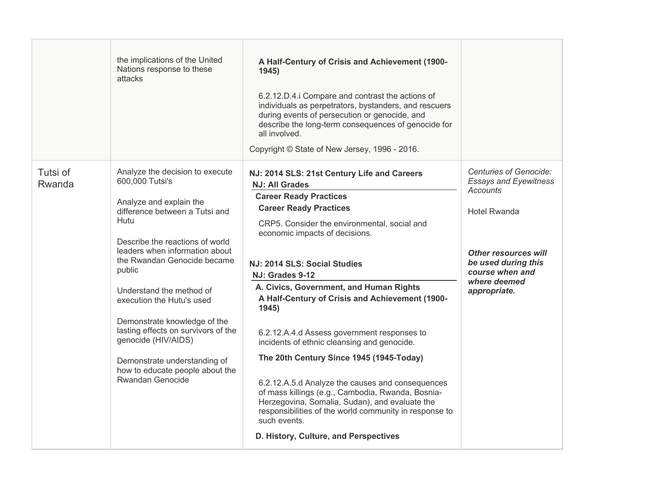|                    | the implications of the United<br>Nations response to these<br>attacks                                                                                                                                                                                                                                                                                                                                                                                                                     | A Half-Century of Crisis and Achievement (1900-<br>1945<br>6.2.12.D.4.i Compare and contrast the actions of<br>individuals as perpetrators, bystanders, and rescuers<br>during events of persecution or genocide, and<br>describe the long-term consequences of genocide for<br>all involved.<br>Copyright © State of New Jersey, 1996 - 2016.                                                                                                                                                                                                                                                                                                                                                                                                                                                             |                                                                                                                                                                                                           |
|--------------------|--------------------------------------------------------------------------------------------------------------------------------------------------------------------------------------------------------------------------------------------------------------------------------------------------------------------------------------------------------------------------------------------------------------------------------------------------------------------------------------------|------------------------------------------------------------------------------------------------------------------------------------------------------------------------------------------------------------------------------------------------------------------------------------------------------------------------------------------------------------------------------------------------------------------------------------------------------------------------------------------------------------------------------------------------------------------------------------------------------------------------------------------------------------------------------------------------------------------------------------------------------------------------------------------------------------|-----------------------------------------------------------------------------------------------------------------------------------------------------------------------------------------------------------|
| Tutsi of<br>Rwanda | Analyze the decision to execute<br>600,000 Tutsi's<br>Analyze and explain the<br>difference between a Tutsi and<br>Hutu<br>Describe the reactions of world<br>leaders when information about<br>the Rwandan Genocide became<br>public<br>Understand the method of<br>execution the Hutu's used<br>Demonstrate knowledge of the<br>lasting effects on survivors of the<br>genocide (HIV/AIDS)<br>Demonstrate understanding of<br>how to educate people about the<br><b>Rwandan Genocide</b> | NJ: 2014 SLS: 21st Century Life and Careers<br><b>NJ: All Grades</b><br><b>Career Ready Practices</b><br><b>Career Ready Practices</b><br>CRP5. Consider the environmental, social and<br>economic impacts of decisions.<br>NJ: 2014 SLS: Social Studies<br>NJ: Grades 9-12<br>A. Civics, Government, and Human Rights<br>A Half-Century of Crisis and Achievement (1900-<br>1945)<br>6.2.12.A.4.d Assess government responses to<br>incidents of ethnic cleansing and genocide.<br>The 20th Century Since 1945 (1945-Today)<br>6.2.12.A.5.d Analyze the causes and consequences<br>of mass killings (e.g., Cambodia, Rwanda, Bosnia-<br>Herzegovina, Somalia, Sudan), and evaluate the<br>responsibilities of the world community in response to<br>such events.<br>D. History, Culture, and Perspectives | <b>Centuries of Genocide:</b><br><b>Essays and Eyewitness</b><br>Accounts<br><b>Hotel Rwanda</b><br><b>Other resources will</b><br>be used during this<br>course when and<br>where deemed<br>appropriate. |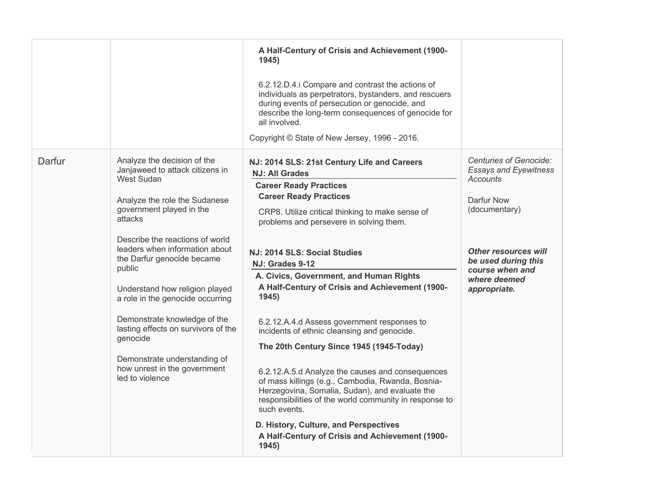|        |                                                                                                                                                                                                                                                                                                                                                                                                                                                                                                                      | A Half-Century of Crisis and Achievement (1900-<br>1945)<br>6.2.12.D.4.i Compare and contrast the actions of<br>individuals as perpetrators, bystanders, and rescuers<br>during events of persecution or genocide, and<br>describe the long-term consequences of genocide for<br>all involved.<br>Copyright © State of New Jersey, 1996 - 2016.                                                                                                                                                                                                                                                                                                                                                                                                                                                                                                                                     |                                                                                                                                                                                                                   |
|--------|----------------------------------------------------------------------------------------------------------------------------------------------------------------------------------------------------------------------------------------------------------------------------------------------------------------------------------------------------------------------------------------------------------------------------------------------------------------------------------------------------------------------|-------------------------------------------------------------------------------------------------------------------------------------------------------------------------------------------------------------------------------------------------------------------------------------------------------------------------------------------------------------------------------------------------------------------------------------------------------------------------------------------------------------------------------------------------------------------------------------------------------------------------------------------------------------------------------------------------------------------------------------------------------------------------------------------------------------------------------------------------------------------------------------|-------------------------------------------------------------------------------------------------------------------------------------------------------------------------------------------------------------------|
| Darfur | Analyze the decision of the<br>Janjaweed to attack citizens in<br><b>West Sudan</b><br>Analyze the role the Sudanese<br>government played in the<br>attacks<br>Describe the reactions of world<br>leaders when information about<br>the Darfur genocide became<br>public<br>Understand how religion played<br>a role in the genocide occurring<br>Demonstrate knowledge of the<br>lasting effects on survivors of the<br>genocide<br>Demonstrate understanding of<br>how unrest in the government<br>led to violence | NJ: 2014 SLS: 21st Century Life and Careers<br><b>NJ: All Grades</b><br><b>Career Ready Practices</b><br><b>Career Ready Practices</b><br>CRP8. Utilize critical thinking to make sense of<br>problems and persevere in solving them.<br>NJ: 2014 SLS: Social Studies<br>NJ: Grades 9-12<br>A. Civics, Government, and Human Rights<br>A Half-Century of Crisis and Achievement (1900-<br>1945)<br>6.2.12.A.4.d Assess government responses to<br>incidents of ethnic cleansing and genocide.<br>The 20th Century Since 1945 (1945-Today)<br>6.2.12.A.5.d Analyze the causes and consequences<br>of mass killings (e.g., Cambodia, Rwanda, Bosnia-<br>Herzegovina, Somalia, Sudan), and evaluate the<br>responsibilities of the world community in response to<br>such events.<br>D. History, Culture, and Perspectives<br>A Half-Century of Crisis and Achievement (1900-<br>1945) | Centuries of Genocide:<br><b>Essays and Eyewitness</b><br><b>Accounts</b><br>Darfur Now<br>(documentary)<br><b>Other resources will</b><br>be used during this<br>course when and<br>where deemed<br>appropriate. |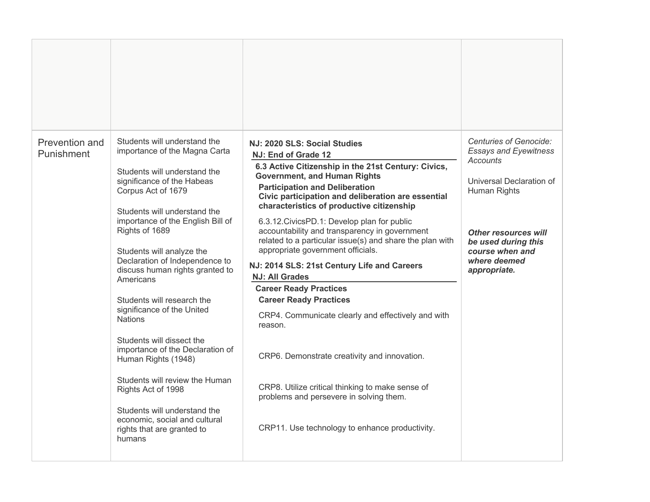| Prevention and<br>Punishment | Students will understand the<br>importance of the Magna Carta<br>Students will understand the<br>significance of the Habeas<br>Corpus Act of 1679<br>Students will understand the<br>importance of the English Bill of<br>Rights of 1689<br>Students will analyze the<br>Declaration of Independence to<br>discuss human rights granted to<br>Americans<br>Students will research the<br>significance of the United<br><b>Nations</b><br>Students will dissect the<br>importance of the Declaration of<br>Human Rights (1948)<br>Students will review the Human<br>Rights Act of 1998 | NJ: 2020 SLS: Social Studies<br>NJ: End of Grade 12<br>6.3 Active Citizenship in the 21st Century: Civics,<br><b>Government, and Human Rights</b><br><b>Participation and Deliberation</b><br>Civic participation and deliberation are essential<br>characteristics of productive citizenship<br>6.3.12. Civics PD.1: Develop plan for public<br>accountability and transparency in government<br>related to a particular issue(s) and share the plan with<br>appropriate government officials.<br>NJ: 2014 SLS: 21st Century Life and Careers<br><b>NJ: All Grades</b><br><b>Career Ready Practices</b><br><b>Career Ready Practices</b><br>CRP4. Communicate clearly and effectively and with<br>reason.<br>CRP6. Demonstrate creativity and innovation.<br>CRP8. Utilize critical thinking to make sense of | Centuries of Genocide:<br><b>Essays and Eyewitness</b><br>Accounts<br>Universal Declaration of<br>Human Rights<br><b>Other resources will</b><br>be used during this<br>course when and<br>where deemed<br>appropriate. |
|------------------------------|---------------------------------------------------------------------------------------------------------------------------------------------------------------------------------------------------------------------------------------------------------------------------------------------------------------------------------------------------------------------------------------------------------------------------------------------------------------------------------------------------------------------------------------------------------------------------------------|----------------------------------------------------------------------------------------------------------------------------------------------------------------------------------------------------------------------------------------------------------------------------------------------------------------------------------------------------------------------------------------------------------------------------------------------------------------------------------------------------------------------------------------------------------------------------------------------------------------------------------------------------------------------------------------------------------------------------------------------------------------------------------------------------------------|-------------------------------------------------------------------------------------------------------------------------------------------------------------------------------------------------------------------------|
|                              | Students will understand the<br>economic, social and cultural<br>rights that are granted to<br>humans                                                                                                                                                                                                                                                                                                                                                                                                                                                                                 | problems and persevere in solving them.<br>CRP11. Use technology to enhance productivity.                                                                                                                                                                                                                                                                                                                                                                                                                                                                                                                                                                                                                                                                                                                      |                                                                                                                                                                                                                         |